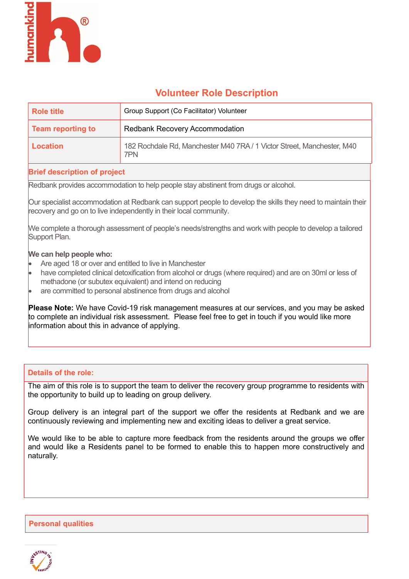

# Volunteer Role Description

| Role title        | Group Support (Co Facilitator) Volunteer                                      |
|-------------------|-------------------------------------------------------------------------------|
| Team reporting to | <b>Redbank Recovery Accommodation</b>                                         |
| Location          | 182 Rochdale Rd, Manchester M40 7RA / 1 Victor Street, Manchester, M40<br>7PN |

# Brief description of project

Redbank provides accommodation to help people stay abstinent from drugs or alcohol.

Our specialist accommodation at Redbank can support people to develop the skills they need to maintain their recovery and go on to live independently in their local community.

We complete a thorough assessment of people's needs/strengths and work with people to develop a tailored Support Plan.

#### We can help people who:

- Are aged 18 or over and entitled to live in Manchester
- have completed clinical detoxification from alcohol or drugs (where required) and are on 30ml or less of methadone (or subutex equivalent) and intend on reducing
- are committed to personal abstinence from drugs and alcohol

Please Note: We have Covid-19 risk management measures at our services, and you may be asked to complete an individual risk assessment. Please feel free to get in touch if you would like more information about this in advance of applying.

#### Details of the role:

The aim of this role is to support the team to deliver the recovery group programme to residents with the opportunity to build up to leading on group delivery.

Group delivery is an integral part of the support we offer the residents at Redbank and we are continuously reviewing and implementing new and exciting ideas to deliver a great service.

We would like to be able to capture more feedback from the residents around the groups we offer and would like a Residents panel to be formed to enable this to happen more constructively and naturally.

Personal qualities